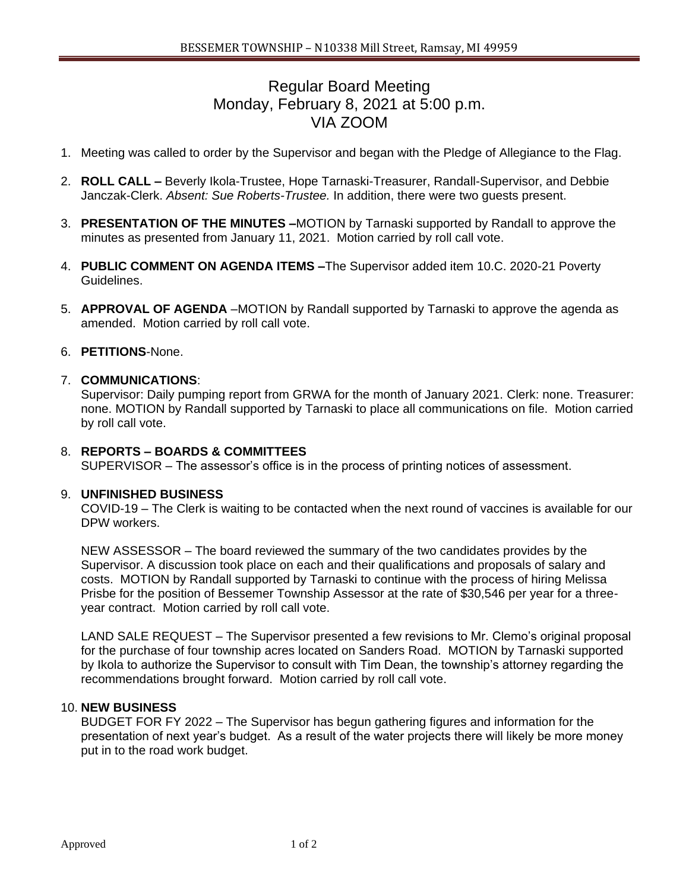# Regular Board Meeting Monday, February 8, 2021 at 5:00 p.m. VIA ZOOM

- 1. Meeting was called to order by the Supervisor and began with the Pledge of Allegiance to the Flag.
- 2. **ROLL CALL –** Beverly Ikola-Trustee, Hope Tarnaski-Treasurer, Randall-Supervisor, and Debbie Janczak-Clerk. *Absent: Sue Roberts-Trustee.* In addition, there were two guests present.
- 3. **PRESENTATION OF THE MINUTES –**MOTION by Tarnaski supported by Randall to approve the minutes as presented from January 11, 2021. Motion carried by roll call vote.
- 4. **PUBLIC COMMENT ON AGENDA ITEMS –**The Supervisor added item 10.C. 2020-21 Poverty Guidelines.
- 5. **APPROVAL OF AGENDA** –MOTION by Randall supported by Tarnaski to approve the agenda as amended. Motion carried by roll call vote.

## 6. **PETITIONS**-None.

#### 7. **COMMUNICATIONS**:

Supervisor: Daily pumping report from GRWA for the month of January 2021. Clerk: none. Treasurer: none. MOTION by Randall supported by Tarnaski to place all communications on file. Motion carried by roll call vote.

#### 8. **REPORTS – BOARDS & COMMITTEES**

SUPERVISOR – The assessor's office is in the process of printing notices of assessment.

#### 9. **UNFINISHED BUSINESS**

COVID-19 – The Clerk is waiting to be contacted when the next round of vaccines is available for our DPW workers.

NEW ASSESSOR – The board reviewed the summary of the two candidates provides by the Supervisor. A discussion took place on each and their qualifications and proposals of salary and costs. MOTION by Randall supported by Tarnaski to continue with the process of hiring Melissa Prisbe for the position of Bessemer Township Assessor at the rate of \$30,546 per year for a threeyear contract. Motion carried by roll call vote.

LAND SALE REQUEST – The Supervisor presented a few revisions to Mr. Clemo's original proposal for the purchase of four township acres located on Sanders Road. MOTION by Tarnaski supported by Ikola to authorize the Supervisor to consult with Tim Dean, the township's attorney regarding the recommendations brought forward. Motion carried by roll call vote.

### 10. **NEW BUSINESS**

BUDGET FOR FY 2022 – The Supervisor has begun gathering figures and information for the presentation of next year's budget. As a result of the water projects there will likely be more money put in to the road work budget.